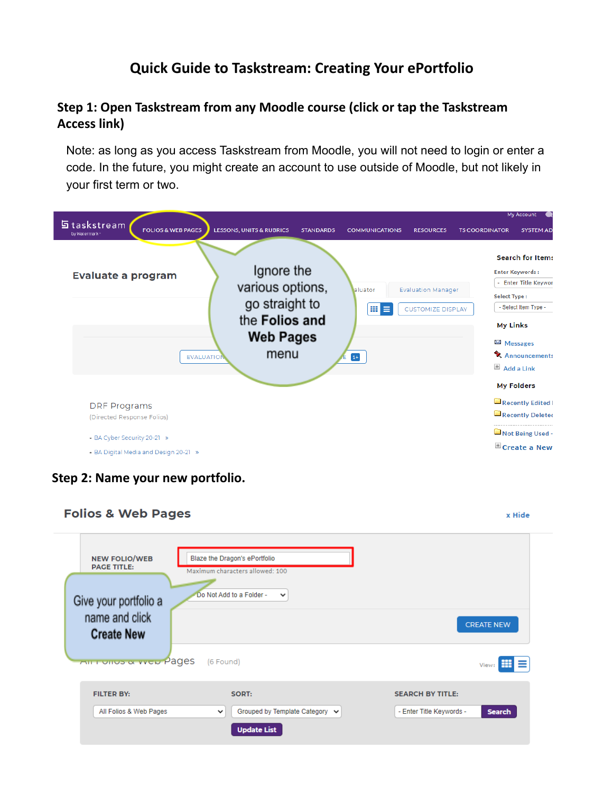## **Quick Guide to Taskstream: Creating Your ePortfolio**

### **Step 1: Open Taskstream from any Moodle course (click or tap the Taskstream Access link)**

Note: as long as you access Taskstream from Moodle, you will not need to login or enter a code. In the future, you might create an account to use outside of Moodle, but not likely in your first term or two.

| n taskstream<br><b>FOLIOS &amp; WEB PAGES</b><br>by Watermark                                                             | <b>LESSONS, UNITS &amp; RUBRICS</b><br><b>STANDARDS</b>                                        | <b>COMMUNICATIONS</b>      | <b>RESOURCES</b>                                      | My Account<br><b>SYSTEM AD</b><br><b>TS COORDINATOR</b>                                                                                                                                                                  |
|---------------------------------------------------------------------------------------------------------------------------|------------------------------------------------------------------------------------------------|----------------------------|-------------------------------------------------------|--------------------------------------------------------------------------------------------------------------------------------------------------------------------------------------------------------------------------|
| <b>Evaluate a program</b><br><b>EVALUATION</b>                                                                            | Ignore the<br>various options,<br>go straight to<br>the Folios and<br><b>Web Pages</b><br>menu | laluator<br>田<br>⋿<br>$1+$ | <b>Evaluation Manager</b><br><b>CUSTOMIZE DISPLAY</b> | <b>Search for Items</b><br><b>Enter Keywords:</b><br>- Enter Title Keywor<br><b>Select Type:</b><br>- Select Item Type -<br><b>My Links</b><br>⊠ Messages<br><b>Announcements</b><br>$#$ Add a Link<br><b>My Folders</b> |
| <b>DRF</b> Programs<br>(Directed Response Folios)<br>- BA Cyber Security 20-21 »<br>• BA Digital Media and Design 20-21 » |                                                                                                |                            |                                                       | Recently Edited I<br>Recently Deleted<br>Not Being Used -<br>E Create a New                                                                                                                                              |

**Step 2: Name your new portfolio.**

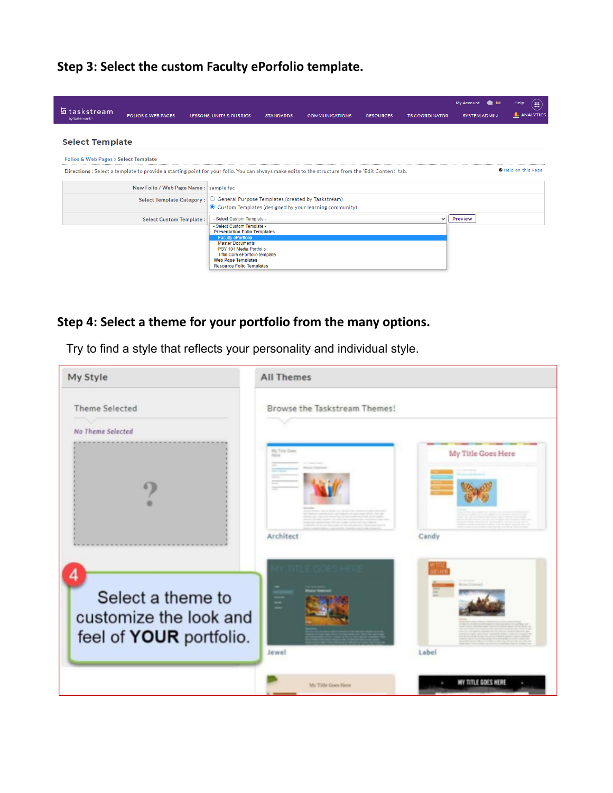**Step 3: Select the custom Faculty ePorfolio template.**

| <b>b</b> taskstream<br>by Watermark*            | <b>FOLIOS &amp; WEB PAGES</b>                                                                                                                      | <b>LESSONS, UNITS &amp; RUBRICS</b>                                                                                                                                                | <b>STANDARDS</b> | <b>COMMUNICATIONS</b>                                                                                         | <b>RESOURCES</b> | <b>TS COORDINATOR</b> |                | My Account N<br><b>SYSTEM ADMIN</b> | Help<br><b>III</b><br><b>I.</b> ANALYTICS |
|-------------------------------------------------|----------------------------------------------------------------------------------------------------------------------------------------------------|------------------------------------------------------------------------------------------------------------------------------------------------------------------------------------|------------------|---------------------------------------------------------------------------------------------------------------|------------------|-----------------------|----------------|-------------------------------------|-------------------------------------------|
| <b>Select Template</b>                          |                                                                                                                                                    |                                                                                                                                                                                    |                  |                                                                                                               |                  |                       |                |                                     |                                           |
| <b>Folios &amp; Web Pages » Select Template</b> |                                                                                                                                                    |                                                                                                                                                                                    |                  |                                                                                                               |                  |                       |                |                                     |                                           |
|                                                 | Directions : Select a template to provide a starting point for your folio. You can always make edits to the structure from the 'Edit Content' tab. |                                                                                                                                                                                    |                  |                                                                                                               |                  |                       |                |                                     | Help on this Page                         |
|                                                 | New Folio / Web Page Name: sample fac                                                                                                              |                                                                                                                                                                                    |                  |                                                                                                               |                  |                       |                |                                     |                                           |
|                                                 | <b>Select Template Category:</b>                                                                                                                   |                                                                                                                                                                                    |                  | General Purpose Templates (created by Taskstream)<br>◯ Custom Templates (designed by your learning community) |                  |                       |                |                                     |                                           |
|                                                 | <b>Select Custom Template:</b>                                                                                                                     | - Select Custom Template -                                                                                                                                                         |                  |                                                                                                               |                  | $\checkmark$          | <b>Preview</b> |                                     |                                           |
|                                                 |                                                                                                                                                    | - Select Custom Template -<br><b>Presentation Folio Templates</b>                                                                                                                  |                  |                                                                                                               |                  |                       |                |                                     |                                           |
|                                                 |                                                                                                                                                    | <b>Faculty ePortfolio</b><br><b>Master Documents</b><br>PSY 101 Media Portfolio<br>Tiffin Core ePortfolio template<br><b>Web Page Templates</b><br><b>Resource Folio Templates</b> |                  |                                                                                                               |                  |                       |                |                                     |                                           |

# **Step 4: Select a theme for your portfolio from the many options.**

Try to find a style that reflects your personality and individual style.

| My Style                                                               | <b>All Themes</b>             |                    |
|------------------------------------------------------------------------|-------------------------------|--------------------|
| <b>Theme Selected</b>                                                  | Browse the Taskstream Themes! |                    |
| No Theme Selected                                                      | My Title Goes<br>Hine         | My Title Goes Here |
|                                                                        | Architect                     | Candy              |
| Select a theme to<br>customize the look and<br>feel of YOUR portfolio. | Ξ<br>Jewel                    | Label              |
|                                                                        | My Title Goes Here            | MY TITLE GOES HERE |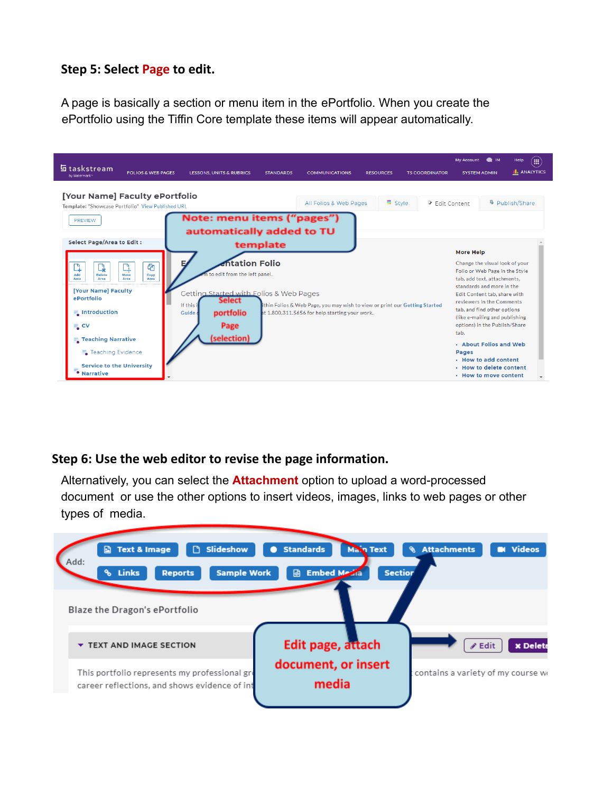#### **Step 5: Select Page to edit.**

A page is basically a section or menu item in the ePortfolio. When you create the ePortfolio using the Tiffin Core template these items will appear automatically.

| 들 taskstream<br><b>FOLIOS &amp; WEB PAGES</b><br>by Watermark                                                                                                                                                                                                                                               | <b>LESSONS, UNITS &amp; RUBRICS</b>                                                                                                                                                                                    | <b>STANDARDS</b> | <b>COMMUNICATIONS</b>                                                                                                       | <b>RESOURCES</b> | <b>TS COORDINATOR</b> | My Account N IM<br><b>SYSTEM ADMIN</b>                                                                                                                                                                                                                                                                                                                                                                                                        | <b>III</b><br>Help<br><b>L</b> ANALYTICS |
|-------------------------------------------------------------------------------------------------------------------------------------------------------------------------------------------------------------------------------------------------------------------------------------------------------------|------------------------------------------------------------------------------------------------------------------------------------------------------------------------------------------------------------------------|------------------|-----------------------------------------------------------------------------------------------------------------------------|------------------|-----------------------|-----------------------------------------------------------------------------------------------------------------------------------------------------------------------------------------------------------------------------------------------------------------------------------------------------------------------------------------------------------------------------------------------------------------------------------------------|------------------------------------------|
| [Your Name] Faculty ePortfolio<br>Template: "Showcase Portfolio" View Published URL<br><b>PREVIEW</b>                                                                                                                                                                                                       | Note: menu items ("pages")                                                                                                                                                                                             |                  | All Folios & Web Pages                                                                                                      | <b>■</b> Style   | Fdit Content          |                                                                                                                                                                                                                                                                                                                                                                                                                                               | <sup>©</sup> Publish/Share               |
| <b>Select Page/Area to Edit:</b><br>ቂ<br>Q<br>Add<br><b>Delete</b><br>Move<br>Copy<br>Area<br>Area<br>Area<br>Area<br>[Your Name] Faculty<br>ePortfolio<br>$\frac{1}{2}$ Introduction<br>$\equiv$ CV<br><b>Teaching Narrative</b><br>■ Teaching Evidence<br><b>Service to the University</b><br>• Narrative | automatically added to TU<br><b>Entation Folio</b><br>Е<br>in to edit from the left panel.<br><b>Getting Started with Folios &amp; Web Pages</b><br>Select<br>If this i<br>portfolio<br>Guide o<br>Page<br>(selection) | template         | thin Folios & Web Page, you may wish to view or print our Getting Started<br>at 1.800.311.5656 for help starting your work. |                  |                       | <b>More Help</b><br>Change the visual look of your<br>Folio or Web Page in the Style<br>tab, add text, attachments.<br>standards and more in the<br>Edit Content tab, share with<br>reviewers in the Comments<br>tab, and find other options<br>(like e-mailing and publishing<br>options) in the Publish/Share<br>tab.<br>• About Folios and Web<br><b>Pages</b><br>. How to add content<br>. How to delete content<br>• How to move content |                                          |

### **Step 6: Use the web editor to revise the page information.**

Alternatively, you can select the **Attachment** option to upload a word-processed document or use the other options to insert videos, images, links to web pages or other types of media.

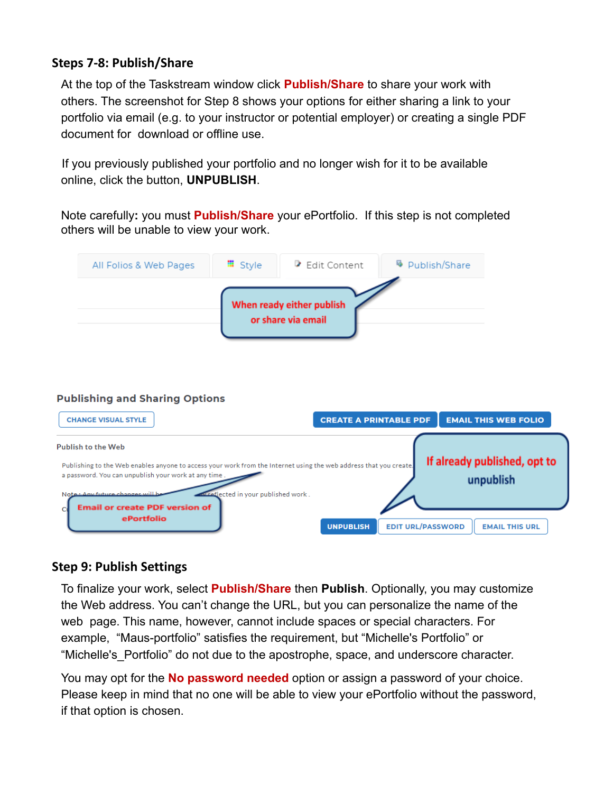### **Steps 7-8: Publish/Share**

At the top of the Taskstream window click **Publish/Share** to share your work with others. The screenshot for Step 8 shows your options for either sharing a link to your portfolio via email (e.g. to your instructor or potential employer) or creating a single PDF document for download or offline use.

If you previously published your portfolio and no longer wish for it to be available online, click the button, **UNPUBLISH**.

Note carefully**:** you must **Publish/Share** your ePortfolio. If this step is not completed others will be unable to view your work.

| All Folios & Web Pages | <b>■</b> Style | Edit Content                                    | <sup>©</sup> Publish/Share |
|------------------------|----------------|-------------------------------------------------|----------------------------|
|                        |                | When ready either publish<br>or share via email |                            |

#### **Publishing and Sharing Options**

| <b>CHANGE VISUAL STYLE</b>                                                                                                                                                | <b>CREATE A PRINTABLE PDF</b><br><b>EMAIL THIS WEB FOLIO</b>          |
|---------------------------------------------------------------------------------------------------------------------------------------------------------------------------|-----------------------------------------------------------------------|
| <b>Publish to the Web</b>                                                                                                                                                 | If already published, opt to                                          |
| Publishing to the Web enables anyone to access your work from the Internet using the web address that you create.<br>a password. You can unpublish your work at any time. | unpublish                                                             |
| Note: Any future changes will be<br>wreflected in your published work.<br><b>Email or create PDF version of</b>                                                           |                                                                       |
| ePortfolio                                                                                                                                                                | <b>EDIT URL/PASSWORD</b><br><b>UNPUBLISH</b><br><b>EMAIL THIS URL</b> |

### **Step 9: Publish Settings**

To finalize your work, select **Publish/Share** then **Publish**. Optionally, you may customize the Web address. You can't change the URL, but you can personalize the name of the web page. This name, however, cannot include spaces or special characters. For example, "Maus-portfolio" satisfies the requirement, but "Michelle's Portfolio" or "Michelle's Portfolio" do not due to the apostrophe, space, and underscore character.

You may opt for the **No password needed** option or assign a password of your choice. Please keep in mind that no one will be able to view your ePortfolio without the password, if that option is chosen.